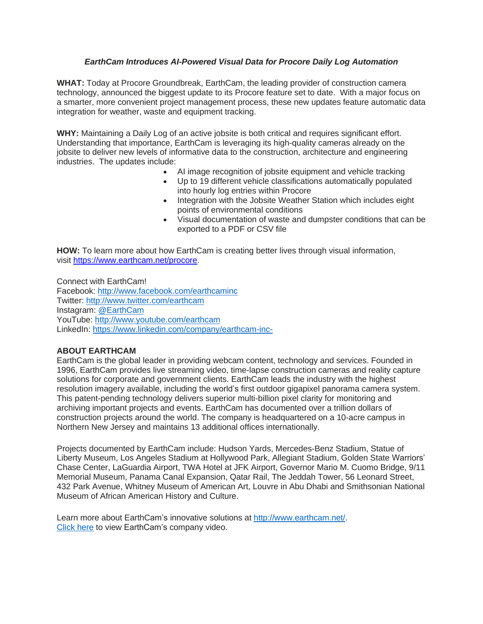## *EarthCam Introduces AI-Powered Visual Data for Procore Daily Log Automation*

**WHAT:** Today at Procore Groundbreak, EarthCam, the leading provider of construction camera technology, announced the biggest update to its Procore feature set to date. With a major focus on a smarter, more convenient project management process, these new updates feature automatic data integration for weather, waste and equipment tracking.

**WHY:** Maintaining a Daily Log of an active jobsite is both critical and requires significant effort. Understanding that importance, EarthCam is leveraging its high-quality cameras already on the jobsite to deliver new levels of informative data to the construction, architecture and engineering industries. The updates include:

- AI image recognition of jobsite equipment and vehicle tracking
- Up to 19 different vehicle classifications automatically populated into hourly log entries within Procore
- Integration with the Jobsite Weather Station which includes eight points of environmental conditions
- Visual documentation of waste and dumpster conditions that can be exported to a PDF or CSV file

**HOW:** To learn more about how EarthCam is creating better lives through visual information, visit [https://www.earthcam.net/procore.](https://www.earthcam.net/procore)

Connect with EarthCam! Facebook: [http://www.facebook.com/earthcaminc](https://u7061146.ct.sendgrid.net/wf/click?upn=84Em28S1K9SvtzcUtu04Er5x-2BLHjN7SASQlfw88lxFGEFWVFtP4eDg4Gpt2BKT8y_na7mmnMYCPEQlNb6b5HYrd4XHWokFL-2B5i1wFm8tb14GVn1BQbb7nFld2JOX7L7oG7y5PThqFX6hY21u9wYtbiO3BFkEJcMQiKAJZ9By98nPbat9GPaPezBe9KU1dB-2FcHoXZynawO-2FYPiJ1v2ZTDQLxjWNJBCWG9Eu9iYvw6N-2Bxjtc1pSPBHr-2B4MrpyWD72YGInKB5yqlKCoipDvsNwpopsM21jyNpFX7xEb83fVMM5jZ3Ab1lyw6yj7WG4jCmQWvMZbmTRqgvahfb9Mq9Xn-2Ft0xa-2F7MDwllGpkKmMDR-2Frqrln1i82SQrDBGEPx5Ze2RqUni06hnlJ5KoRBdRuExaM64D9RjrU16-2Bm1Q0j-2BguapQ-3D) Twitter: [http://www.twitter.com/earthcam](https://u7061146.ct.sendgrid.net/wf/click?upn=84Em28S1K9SvtzcUtu04EoGiFFnbcl6whN8U5we1hlcTwydbsrf1lLZdWbaH2P8V_na7mmnMYCPEQlNb6b5HYrd4XHWokFL-2B5i1wFm8tb14GVn1BQbb7nFld2JOX7L7oG7y5PThqFX6hY21u9wYtbiO3BFkEJcMQiKAJZ9By98nPbat9GPaPezBe9KU1dB-2FcHoXZynawO-2FYPiJ1v2ZTDQLxjWNJBCWG9Eu9iYvw6N-2Bxjtc1pSPBHr-2B4MrpyWD72YGiY5X89W0GpxSEoWQqLSqywiZTzV3BMz0e-2Fxw6SdKOmHMLIySQDgvCQbkyCd5EWcX6xlCHUH1epCpJ3Y47prdnABn18R-2F981VHepucR4d8Vkpok1AUkezV-2F4PLres-2FzadbpYJvmAGlieQKW7pbkKHz1407f8hj8hZ6SuArvCbfuI-3D) Instagram: [@EarthCam](https://u7061146.ct.sendgrid.net/wf/click?upn=G62jSYfZdO-2F12d8lSllQB6u1PGoyWuL3Vns9rCUgEEi2XybzeBPMm-2B7ljy-2FQSehq_na7mmnMYCPEQlNb6b5HYrd4XHWokFL-2B5i1wFm8tb14GVn1BQbb7nFld2JOX7L7oG7y5PThqFX6hY21u9wYtbiO3BFkEJcMQiKAJZ9By98nPbat9GPaPezBe9KU1dB-2FcHoXZynawO-2FYPiJ1v2ZTDQLxjWNJBCWG9Eu9iYvw6N-2Bxjtc1pSPBHr-2B4MrpyWD72YGfoxIVJGbVz-2Bewr86CPdEB7RfWa8Ak3BLBsIgGwZa99PokFumktRbi0myQYp7EWqX0R7LmUmx39BYPS5zMoRfR4rgypVqy8zfcj5FTl-2B8iAS0revF95KtT-2BaVDw4SXevx8r3g4f0vs-2FBvmVP3PGusrWSm8M92hAYH7skJIOdgBn0-3D) YouTube: [http://www.youtube.com/earthcam](https://u7061146.ct.sendgrid.net/wf/click?upn=84Em28S1K9SvtzcUtu04ElBbv0LUWbLHYo3kr-2BvnqWTza2VnD0M5lwV8wGgmF75R_na7mmnMYCPEQlNb6b5HYrd4XHWokFL-2B5i1wFm8tb14GVn1BQbb7nFld2JOX7L7oG7y5PThqFX6hY21u9wYtbiO3BFkEJcMQiKAJZ9By98nPbat9GPaPezBe9KU1dB-2FcHoXZynawO-2FYPiJ1v2ZTDQLxjWNJBCWG9Eu9iYvw6N-2Bxjtc1pSPBHr-2B4MrpyWD72YGtURqzvgNd0INL-2F0Z7KhF9Oksm31Hq-2B3aFoCBJCfMREiHV5EcDcSCQd24lPPOXG7SXJgnOwlU1mfkMTwtZc5kHoFuja9H5X2-2F2HMEbblzpXIlIXWELgUfQVeK-2BUFZymTke9GjauUO8F0V0EJ-2F2zW9ZziFcls4glOxf4GhOALp2Rc-3D) LinkedIn: [https://www.linkedin.com/company/earthcam-inc-](https://u7061146.ct.sendgrid.net/wf/click?upn=G62jSYfZdO-2F12d8lSllQBw2bGq4lTh7Js6OKCpBzel6gKfZmXcV3gleeT-2BHG-2Bu2WsAcbZJxbqOQofnePTCv5BQ-3D-3D_na7mmnMYCPEQlNb6b5HYrd4XHWokFL-2B5i1wFm8tb14GVn1BQbb7nFld2JOX7L7oG7y5PThqFX6hY21u9wYtbiO3BFkEJcMQiKAJZ9By98nPbat9GPaPezBe9KU1dB-2FcHoXZynawO-2FYPiJ1v2ZTDQLxjWNJBCWG9Eu9iYvw6N-2Bxjtc1pSPBHr-2B4MrpyWD72YG8TwzuAHKDDOUruVEhK8QYI8Vjzphm9MhFrEOHT-2BWQdeLdT2XsGiiQkaXe6GEqTxfEFSpTt6FbcY-2BrFpjLhRbuLPict-2BGNCVJ2MqEGYR1aNarhAaGpgfexTfhXG-2FmeU6KlQ8Pgv9dBFxRKlN1F4a23vfIfPmTDLpSlz1QrF4wgD0-3D)

## **ABOUT EARTHCAM**

EarthCam is the global leader in providing webcam content, technology and services. Founded in 1996, EarthCam provides live streaming video, time-lapse construction cameras and reality capture solutions for corporate and government clients. EarthCam leads the industry with the highest resolution imagery available, including the world's first outdoor gigapixel panorama camera system. This patent-pending technology delivers superior multi-billion pixel clarity for monitoring and archiving important projects and events. EarthCam has documented over a trillion dollars of construction projects around the world. The company is headquartered on a 10-acre campus in Northern New Jersey and maintains 13 additional offices internationally.

Projects documented by EarthCam include: Hudson Yards, Mercedes-Benz Stadium, Statue of Liberty Museum, Los Angeles Stadium at Hollywood Park, Allegiant Stadium, Golden State Warriors' Chase Center, LaGuardia Airport, TWA Hotel at JFK Airport, Governor Mario M. Cuomo Bridge, 9/11 Memorial Museum, Panama Canal Expansion, Qatar Rail, The Jeddah Tower, 56 Leonard Street, 432 Park Avenue, Whitney Museum of American Art, Louvre in Abu Dhabi and Smithsonian National Museum of African American History and Culture.

Learn more about EarthCam's innovative solutions at [http://www.earthcam.net/.](https://u7061146.ct.sendgrid.net/wf/click?upn=84Em28S1K9SvtzcUtu04EmxrI2mZZqZcniglh3zXhZU-3D_na7mmnMYCPEQlNb6b5HYrd4XHWokFL-2B5i1wFm8tb14GVn1BQbb7nFld2JOX7L7oG7y5PThqFX6hY21u9wYtbiO3BFkEJcMQiKAJZ9By98nPbat9GPaPezBe9KU1dB-2FcHoXZynawO-2FYPiJ1v2ZTDQLxjWNJBCWG9Eu9iYvw6N-2Bxjtc1pSPBHr-2B4MrpyWD72YGEompMzxRXN4VEV9UCxZxfLf1dpQGvLm0ZJXrA4fcLZNyDPkqEK69xdVJZsKM9khJjXBWQcdA-2BVommcogEs6g0EcF-2FZrGaFqVUsFSB1r2PHAZzb49A-2F7vMixmGikDcP8xEHR2FONPvSFwngZsbOb-2BH6rPxIQDcKoT7t7i3Yllen0-3D) [Click](https://u7061146.ct.sendgrid.net/wf/click?upn=G62jSYfZdO-2F12d8lSllQB8Py45Kv8f-2BYRfyH7N0ZolOG7cO4R5hr5vwm0R-2FqCaMWXqlyoOm0zlu4hhEYS-2BEiNA-3D-3D_na7mmnMYCPEQlNb6b5HYrd4XHWokFL-2B5i1wFm8tb14GVn1BQbb7nFld2JOX7L7oG7y5PThqFX6hY21u9wYtbiO3BFkEJcMQiKAJZ9By98nPbat9GPaPezBe9KU1dB-2FcHoXZynawO-2FYPiJ1v2ZTDQLxjWNJBCWG9Eu9iYvw6N-2Bxjtc1pSPBHr-2B4MrpyWD72YGACxoi7tRvQe1EWC5TLLeZOyrAAWdHU4KnBrClkj42fWnFVcv2CFgVmYwelsmmrw-2BauhHHqLfU6lmNyqfZM2ww98CXlEoWDbYvWyftrgkyiKxZxmyJotZMwl-2Fdhce7ngfgZCOmwjYKIsjtJr6hEXPoQgVdbKeAWFma3GJHrAyi3k-3D) here to view EarthCam's company video.